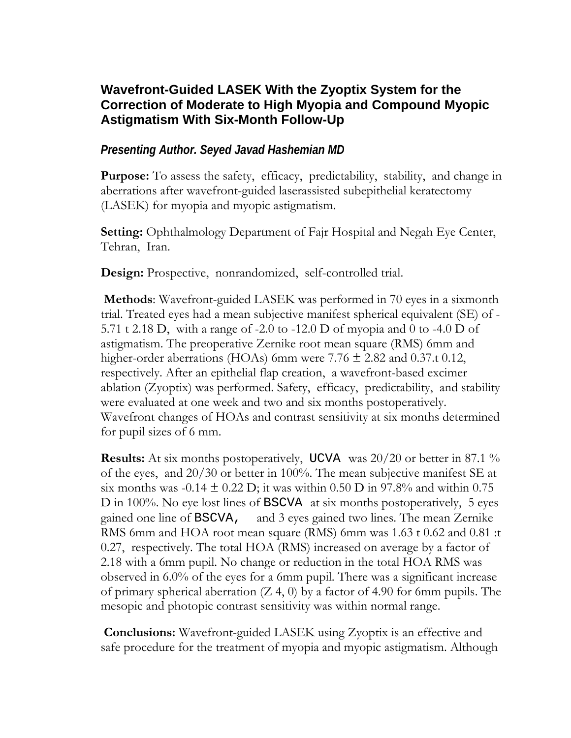## **Wavefront-Guided LASEK With the Zyoptix System for the Correction of Moderate to High Myopia and Compound Myopic Astigmatism With Six-Month Follow-Up**

## *Presenting Author. Seyed Javad Hashemian MD*

**Purpose:** To assess the safety, efficacy, predictability, stability, and change in aberrations after wavefront-guided laserassisted subepithelial keratectomy (LASEK) for myopia and myopic astigmatism.

**Setting:** Ophthalmology Department of Fajr Hospital and Negah Eye Center, Tehran, Iran.

**Design:** Prospective, nonrandomized, self-controlled trial.

 **Methods**: Wavefront-guided LASEK was performed in 70 eyes in a sixmonth trial. Treated eyes had a mean subjective manifest spherical equivalent (SE) of - 5.71 t 2.18 D, with a range of -2.0 to -12.0 D of myopia and 0 to -4.0 D of astigmatism. The preoperative Zernike root mean square (RMS) 6mm and higher-order aberrations (HOAs) 6mm were 7.76  $\pm$  2.82 and 0.37.t 0.12, respectively. After an epithelial flap creation, a wavefront-based excimer ablation (Zyoptix) was performed. Safety, efficacy, predictability, and stability were evaluated at one week and two and six months postoperatively. Wavefront changes of HOAs and contrast sensitivity at six months determined for pupil sizes of 6 mm.

**Results:** At six months postoperatively, UCVA was 20/20 or better in 87.1 % of the eyes, and 20/30 or better in 100%. The mean subjective manifest SE at six months was -0.14  $\pm$  0.22 D; it was within 0.50 D in 97.8% and within 0.75 D in 100%. No eye lost lines of BSCVA at six months postoperatively, 5 eyes gained one line of BSCVA, and 3 eyes gained two lines. The mean Zernike RMS 6mm and HOA root mean square (RMS) 6mm was 1.63 t 0.62 and 0.81 :t 0.27, respectively. The total HOA (RMS) increased on average by a factor of 2.18 with a 6mm pupil. No change or reduction in the total HOA RMS was observed in 6.0% of the eyes for a 6mm pupil. There was a significant increase of primary spherical aberration  $(Z 4, 0)$  by a factor of 4.90 for 6mm pupils. The mesopic and photopic contrast sensitivity was within normal range.

**Conclusions:** Wavefront-guided LASEK using Zyoptix is an effective and safe procedure for the treatment of myopia and myopic astigmatism. Although